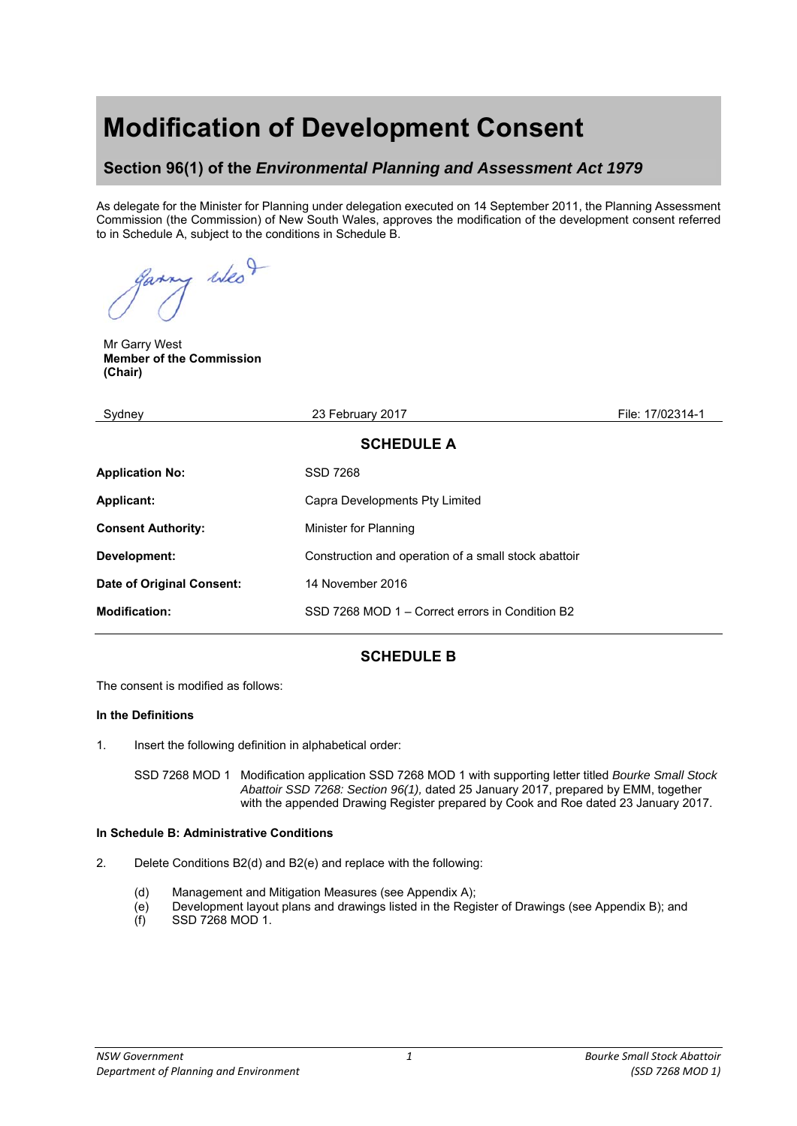# **Modification of Development Consent**

## **Section 96(1) of the** *Environmental Planning and Assessment Act 1979*

As delegate for the Minister for Planning under delegation executed on 14 September 2011, the Planning Assessment Commission (the Commission) of New South Wales, approves the modification of the development consent referred to in Schedule A, subject to the conditions in Schedule B.

of when

Mr Garry West **Member of the Commission (Chair)** 

| Sydney                    | 23 February 2017                                     | File: 17/02314-1 |  |
|---------------------------|------------------------------------------------------|------------------|--|
| <b>SCHEDULE A</b>         |                                                      |                  |  |
| <b>Application No:</b>    | <b>SSD 7268</b>                                      |                  |  |
| <b>Applicant:</b>         | Capra Developments Pty Limited                       |                  |  |
| <b>Consent Authority:</b> | Minister for Planning                                |                  |  |
| Development:              | Construction and operation of a small stock abattoir |                  |  |
| Date of Original Consent: | 14 November 2016                                     |                  |  |
| <b>Modification:</b>      | SSD 7268 MOD 1 – Correct errors in Condition B2      |                  |  |
|                           |                                                      |                  |  |

## **SCHEDULE B**

The consent is modified as follows:

#### **In the Definitions**

1. Insert the following definition in alphabetical order:

SSD 7268 MOD 1 Modification application SSD 7268 MOD 1 with supporting letter titled *Bourke Small Stock Abattoir SSD 7268: Section 96(1),* dated 25 January 2017, prepared by EMM, together with the appended Drawing Register prepared by Cook and Roe dated 23 January 2017.

#### **In Schedule B: Administrative Conditions**

- 2. Delete Conditions B2(d) and B2(e) and replace with the following:
	- (d) Management and Mitigation Measures (see Appendix A);
	- (e) Development layout plans and drawings listed in the Register of Drawings (see Appendix B); and
	- $(f)$  SSD 7268 MOD 1.